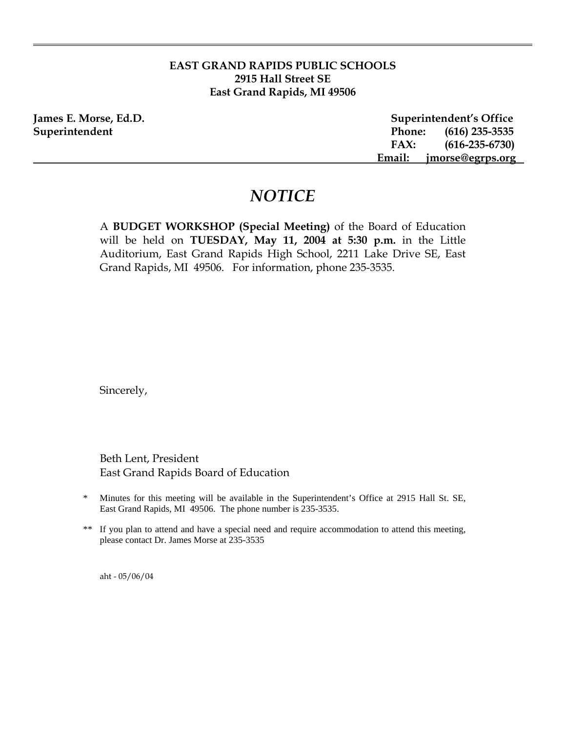## **EAST GRAND RAPIDS PUBLIC SCHOOLS 2915 Hall Street SE East Grand Rapids, MI 49506**

**James E. Morse, Ed.D. Superintendent's Office Superintendent Phone: (616) 235-3535 FAX: (616-235-6730) Email: jmorse@egrps.org** 

# *NOTICE*

A **BUDGET WORKSHOP (Special Meeting)** of the Board of Education will be held on **TUESDAY, May 11, 2004 at 5:30 p.m.** in the Little Auditorium, East Grand Rapids High School, 2211 Lake Drive SE, East Grand Rapids, MI 49506. For information, phone 235-3535.

Sincerely,

Beth Lent, President East Grand Rapids Board of Education

- \* Minutes for this meeting will be available in the Superintendent's Office at 2915 Hall St. SE, East Grand Rapids, MI 49506. The phone number is 235-3535.
- \*\* If you plan to attend and have a special need and require accommodation to attend this meeting, please contact Dr. James Morse at 235-3535

aht - 05/06/04